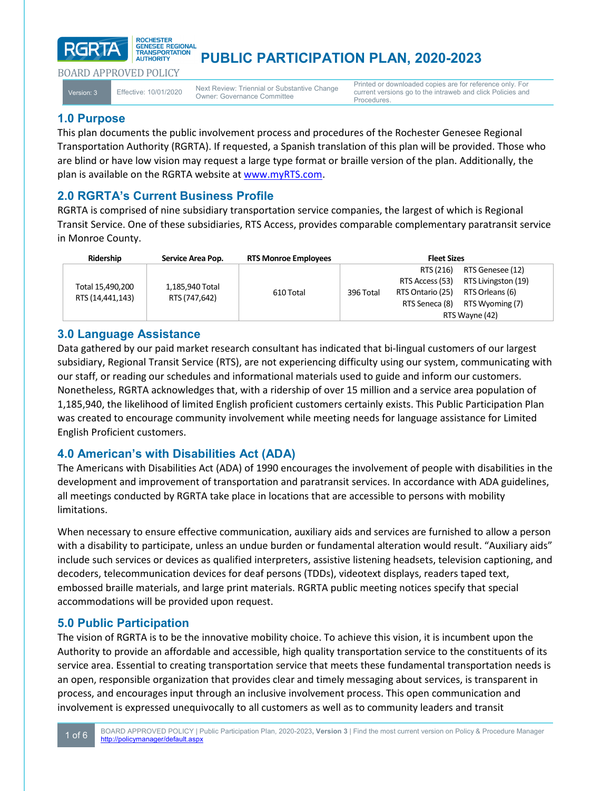# **PUBLIC PARTICIPATION PLAN, 2020-2023**

BOARD APPROVED POLICY

**RGRTA** 

Version: 3 Effective: 10/01/2020 Next Review: Triennial or Substantive Change Owner: Governance Committee

Printed or downloaded copies are for reference only. For current versions go to the intraweb and click Policies and Procedures.

# **1.0 Purpose**

This plan documents the public involvement process and procedures of the Rochester Genesee Regional Transportation Authority (RGRTA). If requested, a Spanish translation of this plan will be provided. Those who are blind or have low vision may request a large type format or braille version of the plan. Additionally, the plan is available on the RGRTA website at [www.myRTS.com.](http://www.myrts.com/)

# **2.0 RGRTA's Current Business Profile**

ROCHESTER **GENESEE REGIONAL** 

**TRANSPORTATION** AUTHORITY

RGRTA is comprised of nine subsidiary transportation service companies, the largest of which is Regional Transit Service. One of these subsidiaries, RTS Access, provides comparable complementary paratransit service in Monroe County.

| Ridership                            | Service Area Pop.                | <b>RTS Monroe Employees</b> | <b>Fleet Sizes</b> |                  |                     |
|--------------------------------------|----------------------------------|-----------------------------|--------------------|------------------|---------------------|
| Total 15.490.200<br>RTS (14,441,143) | 1,185,940 Total<br>RTS (747,642) | 610 Total                   | 396 Total          | RTS (216)        | RTS Genesee (12)    |
|                                      |                                  |                             |                    | RTS Access (53)  | RTS Livingston (19) |
|                                      |                                  |                             |                    | RTS Ontario (25) | RTS Orleans (6)     |
|                                      |                                  |                             |                    | RTS Seneca (8)   | RTS Wyoming (7)     |
|                                      |                                  |                             |                    | RTS Wayne (42)   |                     |

# **3.0 Language Assistance**

Data gathered by our paid market research consultant has indicated that bi-lingual customers of our largest subsidiary, Regional Transit Service (RTS), are not experiencing difficulty using our system, communicating with our staff, or reading our schedules and informational materials used to guide and inform our customers. Nonetheless, RGRTA acknowledges that, with a ridership of over 15 million and a service area population of 1,185,940, the likelihood of limited English proficient customers certainly exists. This Public Participation Plan was created to encourage community involvement while meeting needs for language assistance for Limited English Proficient customers.

# **4.0 American's with Disabilities Act (ADA)**

The Americans with Disabilities Act (ADA) of 1990 encourages the involvement of people with disabilities in the development and improvement of transportation and paratransit services. In accordance with ADA guidelines, all meetings conducted by RGRTA take place in locations that are accessible to persons with mobility limitations.

When necessary to ensure effective communication, auxiliary aids and services are furnished to allow a person with a disability to participate, unless an undue burden or fundamental alteration would result. "Auxiliary aids" include such services or devices as qualified interpreters, assistive listening headsets, television captioning, and decoders, telecommunication devices for deaf persons (TDDs), videotext displays, readers taped text, embossed braille materials, and large print materials. RGRTA public meeting notices specify that special accommodations will be provided upon request.

### **5.0 Public Participation**

The vision of RGRTA is to be the innovative mobility choice. To achieve this vision, it is incumbent upon the Authority to provide an affordable and accessible, high quality transportation service to the constituents of its service area. Essential to creating transportation service that meets these fundamental transportation needs is an open, responsible organization that provides clear and timely messaging about services, is transparent in process, and encourages input through an inclusive involvement process. This open communication and involvement is expressed unequivocally to all customers as well as to community leaders and transit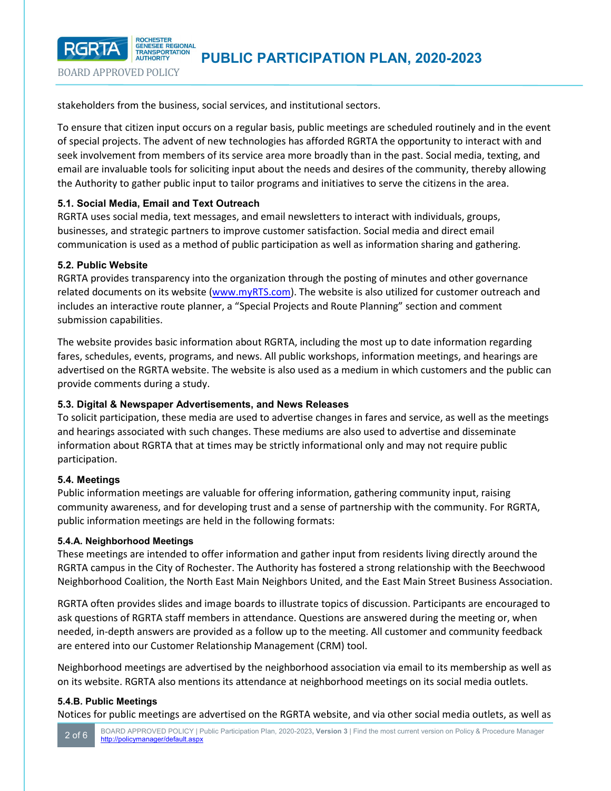

stakeholders from the business, social services, and institutional sectors.

To ensure that citizen input occurs on a regular basis, public meetings are scheduled routinely and in the event of special projects. The advent of new technologies has afforded RGRTA the opportunity to interact with and seek involvement from members of its service area more broadly than in the past. Social media, texting, and email are invaluable tools for soliciting input about the needs and desires of the community, thereby allowing the Authority to gather public input to tailor programs and initiatives to serve the citizens in the area.

### **5.1. Social Media, Email and Text Outreach**

RGRTA uses social media, text messages, and email newsletters to interact with individuals, groups, businesses, and strategic partners to improve customer satisfaction. Social media and direct email communication is used as a method of public participation as well as information sharing and gathering.

### **5.2. Public Website**

BOARD APPROVED POLICY

**RGRTA** 

RGRTA provides transparency into the organization through the posting of minutes and other governance related documents on its website ([www.myRTS.com\)](http://www.myrts.com/). The website is also utilized for customer outreach and includes an interactive route planner, a "Special Projects and Route Planning" section and comment submission capabilities.

The website provides basic information about RGRTA, including the most up to date information regarding fares, schedules, events, programs, and news. All public workshops, information meetings, and hearings are advertised on the RGRTA website. The website is also used as a medium in which customers and the public can provide comments during a study.

### **5.3. Digital & Newspaper Advertisements, and News Releases**

To solicit participation, these media are used to advertise changes in fares and service, as well as the meetings and hearings associated with such changes. These mediums are also used to advertise and disseminate information about RGRTA that at times may be strictly informational only and may not require public participation.

### **5.4. Meetings**

Public information meetings are valuable for offering information, gathering community input, raising community awareness, and for developing trust and a sense of partnership with the community. For RGRTA, public information meetings are held in the following formats:

### **5.4.A. Neighborhood Meetings**

These meetings are intended to offer information and gather input from residents living directly around the RGRTA campus in the City of Rochester. The Authority has fostered a strong relationship with the Beechwood Neighborhood Coalition, the North East Main Neighbors United, and the East Main Street Business Association.

RGRTA often provides slides and image boards to illustrate topics of discussion. Participants are encouraged to ask questions of RGRTA staff members in attendance. Questions are answered during the meeting or, when needed, in-depth answers are provided as a follow up to the meeting. All customer and community feedback are entered into our Customer Relationship Management (CRM) tool.

Neighborhood meetings are advertised by the neighborhood association via email to its membership as well as on its website. RGRTA also mentions its attendance at neighborhood meetings on its social media outlets.

### **5.4.B. Public Meetings**

Notices for public meetings are advertised on the RGRTA website, and via other social media outlets, as well as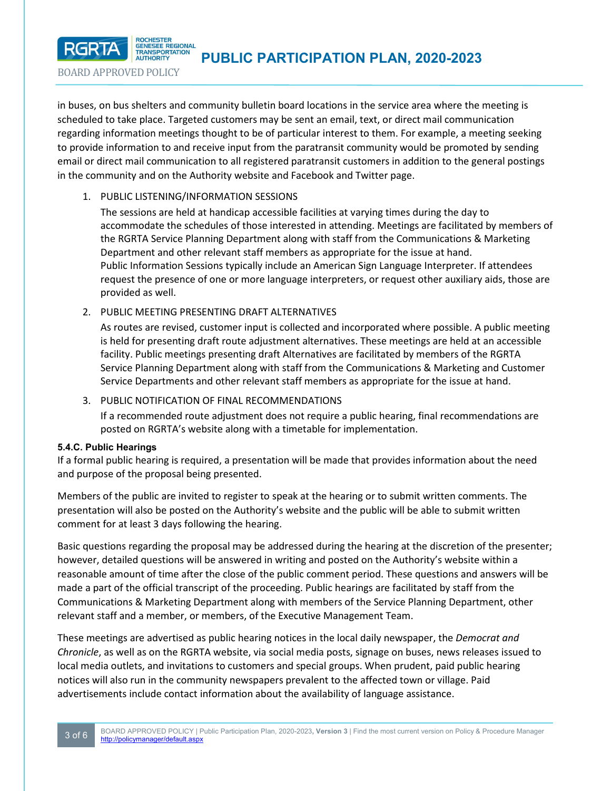

in buses, on bus shelters and community bulletin board locations in the service area where the meeting is scheduled to take place. Targeted customers may be sent an email, text, or direct mail communication regarding information meetings thought to be of particular interest to them. For example, a meeting seeking to provide information to and receive input from the paratransit community would be promoted by sending email or direct mail communication to all registered paratransit customers in addition to the general postings in the community and on the Authority website and Facebook and Twitter page.

### 1. PUBLIC LISTENING/INFORMATION SESSIONS

The sessions are held at handicap accessible facilities at varying times during the day to accommodate the schedules of those interested in attending. Meetings are facilitated by members of the RGRTA Service Planning Department along with staff from the Communications & Marketing Department and other relevant staff members as appropriate for the issue at hand. Public Information Sessions typically include an American Sign Language Interpreter. If attendees request the presence of one or more language interpreters, or request other auxiliary aids, those are provided as well.

2. PUBLIC MEETING PRESENTING DRAFT ALTERNATIVES

As routes are revised, customer input is collected and incorporated where possible. A public meeting is held for presenting draft route adjustment alternatives. These meetings are held at an accessible facility. Public meetings presenting draft Alternatives are facilitated by members of the RGRTA Service Planning Department along with staff from the Communications & Marketing and Customer Service Departments and other relevant staff members as appropriate for the issue at hand.

3. PUBLIC NOTIFICATION OF FINAL RECOMMENDATIONS

If a recommended route adjustment does not require a public hearing, final recommendations are posted on RGRTA's website along with a timetable for implementation.

### **5.4.C. Public Hearings**

BOARD APPROVED POLICY

**RGRTA** 

If a formal public hearing is required, a presentation will be made that provides information about the need and purpose of the proposal being presented.

Members of the public are invited to register to speak at the hearing or to submit written comments. The presentation will also be posted on the Authority's website and the public will be able to submit written comment for at least 3 days following the hearing.

Basic questions regarding the proposal may be addressed during the hearing at the discretion of the presenter; however, detailed questions will be answered in writing and posted on the Authority's website within a reasonable amount of time after the close of the public comment period. These questions and answers will be made a part of the official transcript of the proceeding. Public hearings are facilitated by staff from the Communications & Marketing Department along with members of the Service Planning Department, other relevant staff and a member, or members, of the Executive Management Team.

These meetings are advertised as public hearing notices in the local daily newspaper, the *Democrat and Chronicle*, as well as on the RGRTA website, via social media posts, signage on buses, news releases issued to local media outlets, and invitations to customers and special groups. When prudent, paid public hearing notices will also run in the community newspapers prevalent to the affected town or village. Paid advertisements include contact information about the availability of language assistance.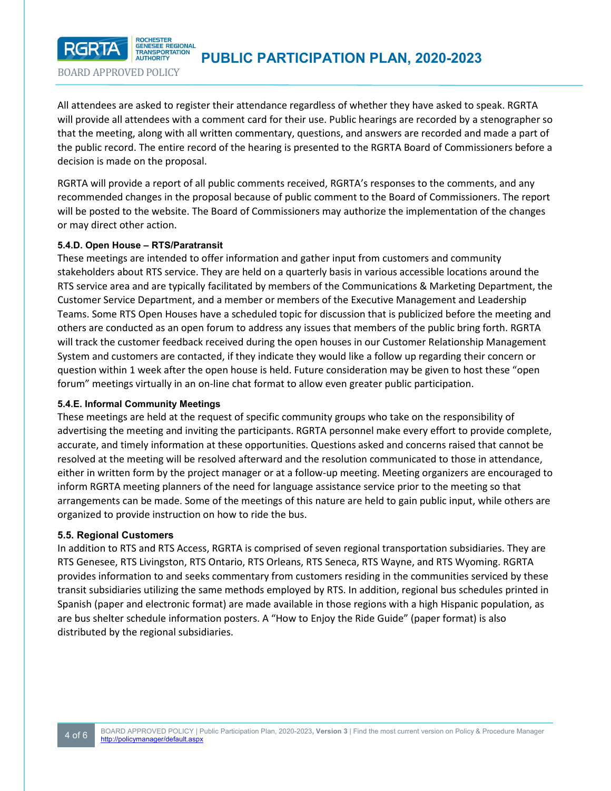

BOARD APPROVED POLICY

GENESEE REGIONAL  **PUBLIC PARTICIPATION PLAN, 2020-2023** 

All attendees are asked to register their attendance regardless of whether they have asked to speak. RGRTA will provide all attendees with a comment card for their use. Public hearings are recorded by a stenographer so that the meeting, along with all written commentary, questions, and answers are recorded and made a part of the public record. The entire record of the hearing is presented to the RGRTA Board of Commissioners before a decision is made on the proposal.

RGRTA will provide a report of all public comments received, RGRTA's responses to the comments, and any recommended changes in the proposal because of public comment to the Board of Commissioners. The report will be posted to the website. The Board of Commissioners may authorize the implementation of the changes or may direct other action.

### **5.4.D. Open House – RTS/Paratransit**

These meetings are intended to offer information and gather input from customers and community stakeholders about RTS service. They are held on a quarterly basis in various accessible locations around the RTS service area and are typically facilitated by members of the Communications & Marketing Department, the Customer Service Department, and a member or members of the Executive Management and Leadership Teams. Some RTS Open Houses have a scheduled topic for discussion that is publicized before the meeting and others are conducted as an open forum to address any issues that members of the public bring forth. RGRTA will track the customer feedback received during the open houses in our Customer Relationship Management System and customers are contacted, if they indicate they would like a follow up regarding their concern or question within 1 week after the open house is held. Future consideration may be given to host these "open forum" meetings virtually in an on-line chat format to allow even greater public participation.

### **5.4.E. Informal Community Meetings**

These meetings are held at the request of specific community groups who take on the responsibility of advertising the meeting and inviting the participants. RGRTA personnel make every effort to provide complete, accurate, and timely information at these opportunities. Questions asked and concerns raised that cannot be resolved at the meeting will be resolved afterward and the resolution communicated to those in attendance, either in written form by the project manager or at a follow-up meeting. Meeting organizers are encouraged to inform RGRTA meeting planners of the need for language assistance service prior to the meeting so that arrangements can be made. Some of the meetings of this nature are held to gain public input, while others are organized to provide instruction on how to ride the bus.

### **5.5. Regional Customers**

In addition to RTS and RTS Access, RGRTA is comprised of seven regional transportation subsidiaries. They are RTS Genesee, RTS Livingston, RTS Ontario, RTS Orleans, RTS Seneca, RTS Wayne, and RTS Wyoming. RGRTA provides information to and seeks commentary from customers residing in the communities serviced by these transit subsidiaries utilizing the same methods employed by RTS. In addition, regional bus schedules printed in Spanish (paper and electronic format) are made available in those regions with a high Hispanic population, as are bus shelter schedule information posters. A "How to Enjoy the Ride Guide" (paper format) is also distributed by the regional subsidiaries.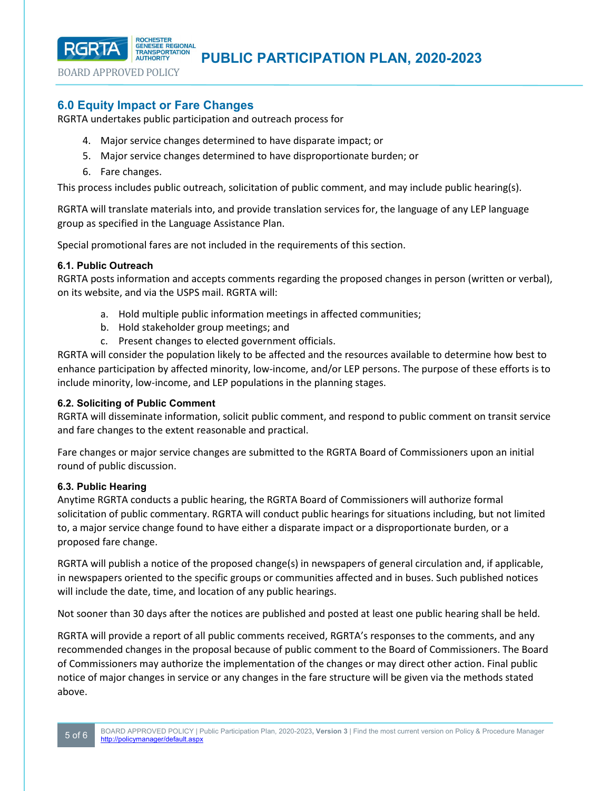**PUBLIC PARTICIPATION PLAN, 2020-2023** 

BOARD APPROVED POLICY

**RGRTA** 

### **6.0 Equity Impact or Fare Changes**

GENESEE REGIONAL

RGRTA undertakes public participation and outreach process for

- 4. Major service changes determined to have disparate impact; or
- 5. Major service changes determined to have disproportionate burden; or
- 6. Fare changes.

This process includes public outreach, solicitation of public comment, and may include public hearing(s).

RGRTA will translate materials into, and provide translation services for, the language of any LEP language group as specified in the Language Assistance Plan.

Special promotional fares are not included in the requirements of this section.

### **6.1. Public Outreach**

RGRTA posts information and accepts comments regarding the proposed changes in person (written or verbal), on its website, and via the USPS mail. RGRTA will:

- a. Hold multiple public information meetings in affected communities;
- b. Hold stakeholder group meetings; and
- c. Present changes to elected government officials.

RGRTA will consider the population likely to be affected and the resources available to determine how best to enhance participation by affected minority, low-income, and/or LEP persons. The purpose of these efforts is to include minority, low-income, and LEP populations in the planning stages.

### **6.2. Soliciting of Public Comment**

RGRTA will disseminate information, solicit public comment, and respond to public comment on transit service and fare changes to the extent reasonable and practical.

Fare changes or major service changes are submitted to the RGRTA Board of Commissioners upon an initial round of public discussion.

### **6.3. Public Hearing**

Anytime RGRTA conducts a public hearing, the RGRTA Board of Commissioners will authorize formal solicitation of public commentary. RGRTA will conduct public hearings for situations including, but not limited to, a major service change found to have either a disparate impact or a disproportionate burden, or a proposed fare change.

RGRTA will publish a notice of the proposed change(s) in newspapers of general circulation and, if applicable, in newspapers oriented to the specific groups or communities affected and in buses. Such published notices will include the date, time, and location of any public hearings.

Not sooner than 30 days after the notices are published and posted at least one public hearing shall be held.

RGRTA will provide a report of all public comments received, RGRTA's responses to the comments, and any recommended changes in the proposal because of public comment to the Board of Commissioners. The Board of Commissioners may authorize the implementation of the changes or may direct other action. Final public notice of major changes in service or any changes in the fare structure will be given via the methods stated above.